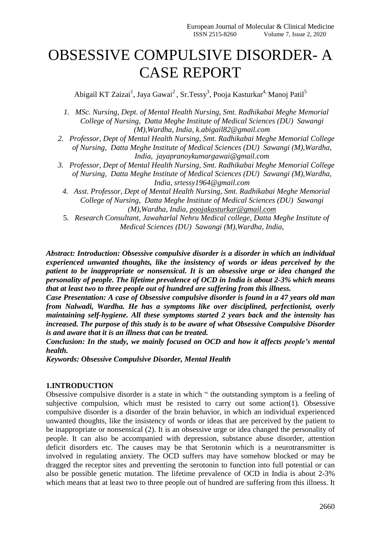# OBSESSIVE COMPULSIVE DISORDER- A CASE REPORT

Abigail KT Zaizai<sup>1</sup>, Jaya Gawai<sup>2</sup>, Sr.Tessy<sup>3</sup>, Pooja Kasturkar<sup>4,</sup> Manoj Patil<sup>5</sup>

- *1. MSc. Nursing, Dept. of Mental Health Nursing, Smt. Radhikabai Meghe Memorial College of Nursing, Datta Meghe Institute of Medical Sciences (DU) Sawangi (M),Wardha, India, k.abigail82@gmail.com*
- *2. Professor, Dept of Mental Health Nursing, Smt. Radhikabai Meghe Memorial College of Nursing, Datta Meghe Institute of Medical Sciences (DU) Sawangi (M),Wardha, India, jayapranoykumargawai@gmail.com*
- *3. Professor, Dept of Mental Health Nursing, Smt. Radhikabai Meghe Memorial College of Nursing, Datta Meghe Institute of Medical Sciences (DU) Sawangi (M),Wardha, India, srtessy1964@gmail.com*
- *4. Asst. Professor, Dept of Mental Health Nursing, Smt. Radhikabai Meghe Memorial College of Nursing, Datta Meghe Institute of Medical Sciences (DU) Sawangi (M),Wardha, India, [poojakasturkar@gmail.com](mailto:poojakasturkar@gmail.com)*
- 5. *Research Consultant, Jawaharlal Nehru Medical college, Datta Meghe Institute of Medical Sciences (DU) Sawangi (M),Wardha, India,*

*Abstract: Introduction: Obsessive compulsive disorder is a disorder in which an individual experienced unwanted thoughts, like the insistency of words or ideas perceived by the patient to be inappropriate or nonsensical. It is an obsessive urge or idea changed the personality of people. The lifetime prevalence of OCD in India is about 2-3% which means that at least two to three people out of hundred are suffering from this illness.*

*Case Presentation: A case of Obsessive compulsive disorder is found in a 47 years old man from Nalwadi, Wardha. He has a symptoms like over disciplined, perfectionist, overly maintaining self-hygiene. All these symptoms started 2 years back and the intensity has increased. The purpose of this study is to be aware of what Obsessive Compulsive Disorder is and aware that it is an illness that can be treated.*

*Conclusion: In the study, we mainly focused on OCD and how it affects people's mental health.*

*Keywords: Obsessive Compulsive Disorder, Mental Health*

# **1.INTRODUCTION**

Obsessive compulsive disorder is a state in which " the outstanding symptom is a feeling of subjective compulsion, which must be resisted to carry out some action(1). Obsessive compulsive disorder is a disorder of the brain behavior, in which an individual experienced unwanted thoughts, like the insistency of words or ideas that are perceived by the patient to be inappropriate or nonsensical (2). It is an obsessive urge or idea changed the personality of people. It can also be accompanied with depression, substance abuse disorder, attention deficit disorders etc. The causes may be that Serotonin which is a neurotransmitter is involved in regulating anxiety. The OCD suffers may have somehow blocked or may be dragged the receptor sites and preventing the serotonin to function into full potential or can also be possible genetic mutation. The lifetime prevalence of OCD in India is about 2-3% which means that at least two to three people out of hundred are suffering from this illness. It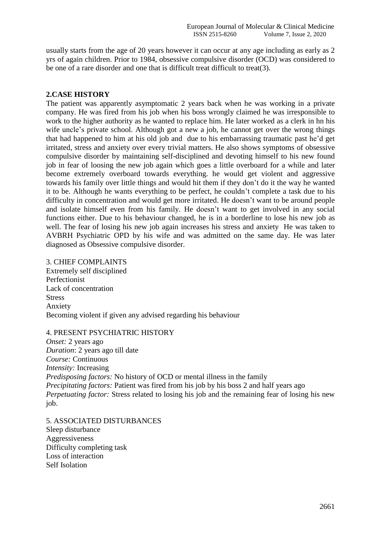usually starts from the age of 20 years however it can occur at any age including as early as 2 yrs of again children. Prior to 1984, obsessive compulsive disorder (OCD) was considered to be one of a rare disorder and one that is difficult treat difficult to treat(3).

# **2.CASE HISTORY**

The patient was apparently asymptomatic 2 years back when he was working in a private company. He was fired from his job when his boss wrongly claimed he was irresponsible to work to the higher authority as he wanted to replace him. He later worked as a clerk in hn his wife uncle's private school. Although got a new a job, he cannot get over the wrong things that had happened to him at his old job and due to his embarrassing traumatic past he'd get irritated, stress and anxiety over every trivial matters. He also shows symptoms of obsessive compulsive disorder by maintaining self-disciplined and devoting himself to his new found job in fear of loosing the new job again which goes a little overboard for a while and later become extremely overboard towards everything. he would get violent and aggressive towards his family over little things and would hit them if they don't do it the way he wanted it to be. Although he wants everything to be perfect, he couldn't complete a task due to his difficulty in concentration and would get more irritated. He doesn't want to be around people and isolate himself even from his family. He doesn't want to get involved in any social functions either. Due to his behaviour changed, he is in a borderline to lose his new job as well. The fear of losing his new job again increases his stress and anxiety He was taken to AVBRH Psychiatric OPD by his wife and was admitted on the same day. He was later diagnosed as Obsessive compulsive disorder.

# 3. CHIEF COMPLAINTS

Extremely self disciplined Perfectionist Lack of concentration Stress Anxiety Becoming violent if given any advised regarding his behaviour

# 4. PRESENT PSYCHIATRIC HISTORY

*Onset:* 2 years ago *Duration*: 2 years ago till date *Course:* Continuous *Intensity:* Increasing *Predisposing factors:* No history of OCD or mental illness in the family *Precipitating factors:* Patient was fired from his job by his boss 2 and half years ago *Perpetuating factor:* Stress related to losing his job and the remaining fear of losing his new job.

5. ASSOCIATED DISTURBANCES Sleep disturbance Aggressiveness Difficulty completing task Loss of interaction Self Isolation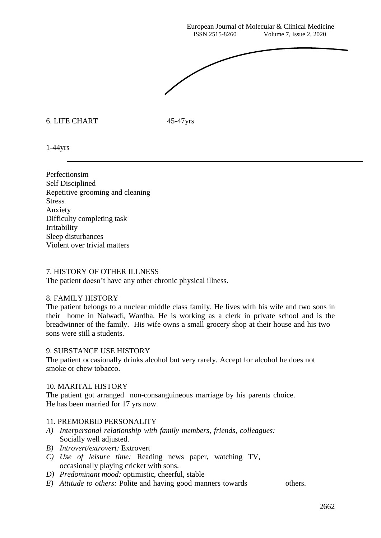European Journal of Molecular & Clinical Medicine ISSN 2515-8260 Volume 7, Issue 2, 2020



## 6. LIFE CHART 45-47yrs

1-44yrs

Perfectionsim Self Disciplined Repetitive grooming and cleaning **Stress** Anxiety Difficulty completing task Irritability Sleep disturbances Violent over trivial matters

## 7. HISTORY OF OTHER ILLNESS

The patient doesn't have any other chronic physical illness.

## 8. FAMILY HISTORY

The patient belongs to a nuclear middle class family. He lives with his wife and two sons in their home in Nalwadi, Wardha. He is working as a clerk in private school and is the breadwinner of the family. His wife owns a small grocery shop at their house and his two sons were still a students.

## 9. SUBSTANCE USE HISTORY

The patient occasionally drinks alcohol but very rarely. Accept for alcohol he does not smoke or chew tobacco.

#### 10. MARITAL HISTORY

The patient got arranged non-consanguineous marriage by his parents choice. He has been married for 17 yrs now.

#### 11. PREMORBID PERSONALITY

- *A) Interpersonal relationship with family members, friends, colleagues:* Socially well adjusted.
- *B) Introvert/extrovert:* Extrovert
- *C) Use of leisure time:* Reading news paper, watching TV, occasionally playing cricket with sons.
- *D) Predominant mood:* optimistic, cheerful, stable
- *E) Attitude to others:* Polite and having good manners towards others.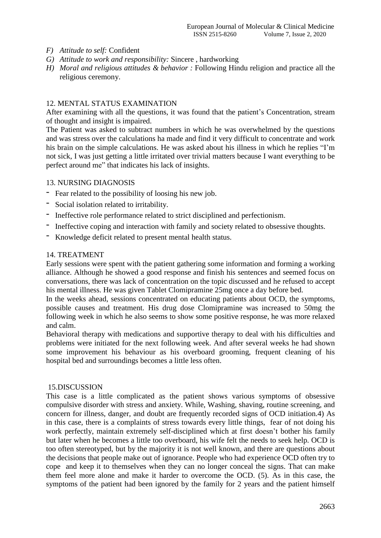- *F) Attitude to self:* Confident
- *G) Attitude to work and responsibility:* Sincere , hardworking
- *H) Moral and religious attitudes & behavior :* Following Hindu religion and practice all the religious ceremony.

# 12. MENTAL STATUS EXAMINATION

After examining with all the questions, it was found that the patient's Concentration, stream of thought and insight is impaired.

The Patient was asked to subtract numbers in which he was overwhelmed by the questions and was stress over the calculations ha made and find it very difficult to concentrate and work his brain on the simple calculations. He was asked about his illness in which he replies "I'm not sick, I was just getting a little irritated over trivial matters because I want everything to be perfect around me" that indicates his lack of insights.

# 13. NURSING DIAGNOSIS

- *-* Fear related to the possibility of loosing his new job.
- *-* Social isolation related to irritability.
- *-* Ineffective role performance related to strict disciplined and perfectionism.
- *-* Ineffective coping and interaction with family and society related to obsessive thoughts.
- *-* Knowledge deficit related to present mental health status.

## 14. TREATMENT

Early sessions were spent with the patient gathering some information and forming a working alliance. Although he showed a good response and finish his sentences and seemed focus on conversations, there was lack of concentration on the topic discussed and he refused to accept his mental illness. He was given Tablet Clomipramine 25mg once a day before bed.

In the weeks ahead, sessions concentrated on educating patients about OCD, the symptoms, possible causes and treatment. His drug dose Clomipramine was increased to 50mg the following week in which he also seems to show some positive response, he was more relaxed and calm.

Behavioral therapy with medications and supportive therapy to deal with his difficulties and problems were initiated for the next following week. And after several weeks he had shown some improvement his behaviour as his overboard grooming, frequent cleaning of his hospital bed and surroundings becomes a little less often.

## 15.DISCUSSION

This case is a little complicated as the patient shows various symptoms of obsessive compulsive disorder with stress and anxiety. While, Washing, shaving, routine screening, and concern for illness, danger, and doubt are frequently recorded signs of OCD initiation.4) As in this case, there is a complaints of stress towards every little things, fear of not doing his work perfectly, maintain extremely self-disciplined which at first doesn't bother his family but later when he becomes a little too overboard, his wife felt the needs to seek help. OCD is too often stereotyped, but by the majority it is not well known, and there are questions about the decisions that people make out of ignorance. People who had experience OCD often try to cope and keep it to themselves when they can no longer conceal the signs. That can make them feel more alone and make it harder to overcome the OCD. (5). As in this case, the symptoms of the patient had been ignored by the family for 2 years and the patient himself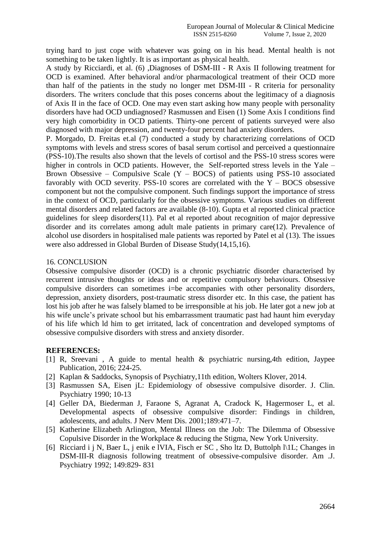trying hard to just cope with whatever was going on in his head. Mental health is not something to be taken lightly. It is as important as physical health.

A study by Ricciardi, et al. (6) ,Diagnoses of DSM-III - R Axis II following treatment for OCD is examined. After behavioral and/or pharmacological treatment of their OCD more than half of the patients in the study no longer met DSM-III - R criteria for personality disorders. The writers conclude that this poses concerns about the legitimacy of a diagnosis of Axis II in the face of OCD. One may even start asking how many people with personality disorders have had OCD undiagnosed? Rasmussen and Eisen (1) Some Axis I conditions find very high comorbidity in OCD patients. Thirty-one percent of patients surveyed were also diagnosed with major depression, and twenty-four percent had anxiety disorders.

P. Morgado, D. Freitas et.al (7) conducted a study by characterizing correlations of OCD symptoms with levels and stress scores of basal serum cortisol and perceived a questionnaire (PSS-10).The results also shown that the levels of cortisol and the PSS-10 stress scores were higher in controls in OCD patients. However, the Self-reported stress levels in the Yale – Brown Obsessive – Compulsive Scale  $(Y - BOCS)$  of patients using PSS-10 associated favorably with OCD severity. PSS-10 scores are correlated with the  $Y - BOCS$  obsessive component but not the compulsive component. Such findings support the importance of stress in the context of OCD, particularly for the obsessive symptoms. Various studies on different mental disorders and related factors are available (8-10). Gupta et al reported clinical practice guidelines for sleep disorders(11). Pal et al reported about recognition of major depressive disorder and its correlates among adult male patients in primary care(12). Prevalence of alcohol use disorders in hospitalised male patients was reported by Patel et al (13). The issues were also addressed in Global Burden of Disease Study(14,15,16).

# 16. CONCLUSION

Obsessive compulsive disorder (OCD) is a chronic psychiatric disorder characterised by recurrent intrusive thoughts or ideas and or repetitive compulsory behaviours. Obsessive compulsive disorders can sometimes i=be accompanies with other personality disorders, depression, anxiety disorders, post-traumatic stress disorder etc. In this case, the patient has lost his job after he was falsely blamed to be irresponsible at his job. He later got a new job at his wife uncle's private school but his embarrassment traumatic past had haunt him everyday of his life which ld him to get irritated, lack of concentration and developed symptoms of obsessive compulsive disorders with stress and anxiety disorder.

## **REFERENCES:**

- [1] R, Sreevani , A guide to mental health & psychiatric nursing,4th edition, Jaypee Publication, 2016; 224-25.
- [2] Kaplan & Saddocks, Synopsis of Psychiatry,11th edition, Wolters Klover, 2014.
- [3] Rasmussen SA, Eisen jL: Epidemiology of obsessive compulsive disorder. J. Clin. Psychiatry 1990; 10-13
- [4] Geller DA, Biederman J, Faraone S, Agranat A, Cradock K, Hagermoser L, et al. Developmental aspects of obsessive compulsive disorder: Findings in children, adolescents, and adults. J Nerv Ment Dis. 2001;189:471–7.
- [5] Katherine Elizabeth Arlington, Mental Illness on the Job: The Dilemma of Obsessive Copulsive Disorder in the Workplace & reducing the Stigma, New York University.
- [6] Ricciard i j N, Baer L, j enik e lVIA, Fisch er SC , Sho ltz D, Buttolph l\1L; Changes in DSM-III-R diagnosis following treatment of obsessive-compulsive disorder. Am .J. Psychiatry 1992; 149:829- 831